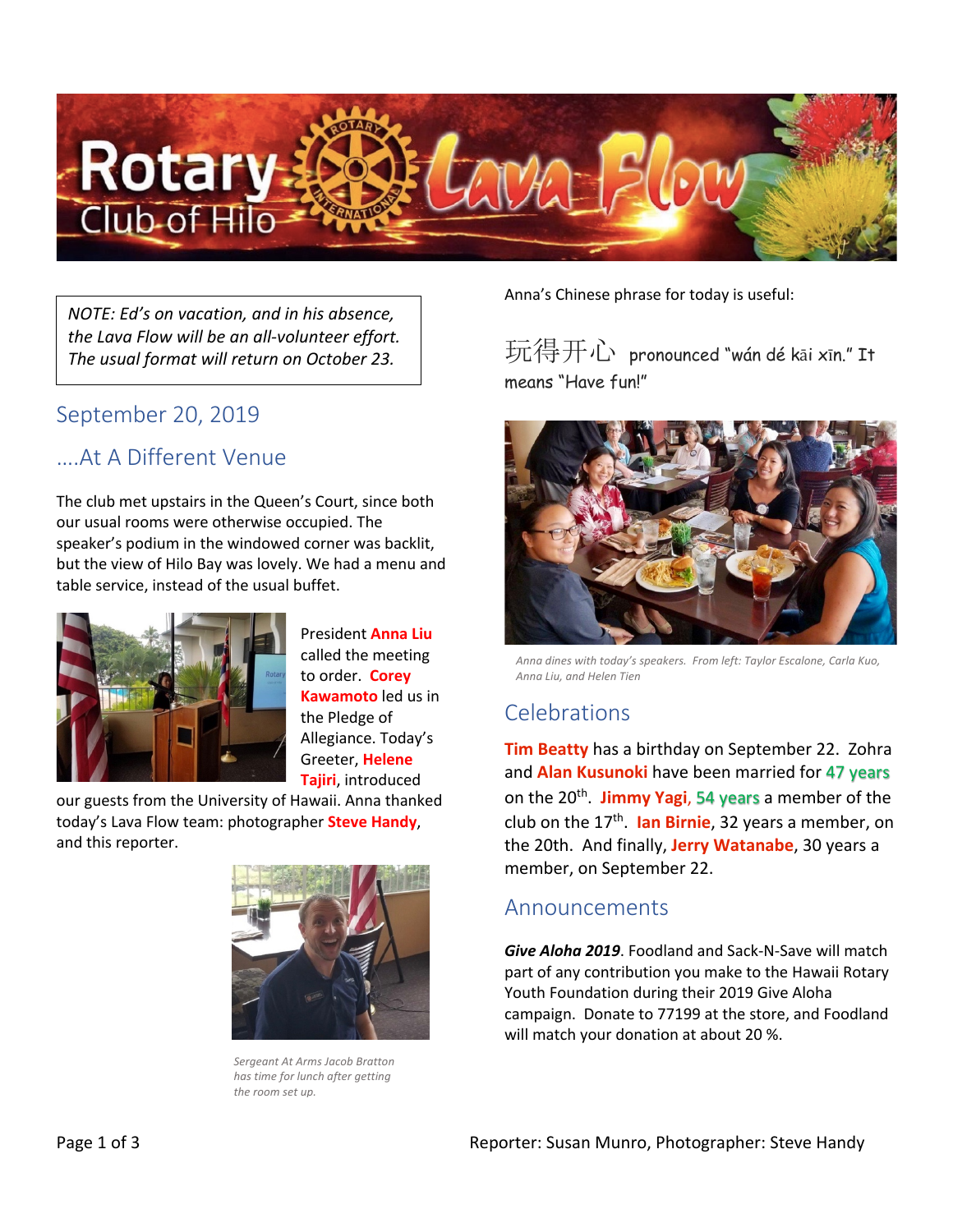

*NOTE: Ed's on vacation, and in his absence, the Lava Flow will be an all-volunteer effort. The usual format will return on October 23.*

#### September 20, 2019

#### ….At A Different Venue

The club met upstairs in the Queen's Court, since both our usual rooms were otherwise occupied. The speaker's podium in the windowed corner was backlit, but the view of Hilo Bay was lovely. We had a menu and table service, instead of the usual buffet.



President **Anna Liu** called the meeting to order. **Corey Kawamoto** led us in the Pledge of Allegiance. Today's Greeter, **Helene Tajiri**, introduced

our guests from the University of Hawaii. Anna thanked today's Lava Flow team: photographer **Steve Handy**, and this reporter.



*Sergeant At Arms Jacob Bratton has time for lunch after getting the room set up.*

Anna's Chinese phrase for today is useful:

玩得开心 pronounced "wán dé <sup>k</sup>ā<sup>i</sup> <sup>x</sup>īn." It means "Have fun!"



*Anna dines with today's speakers. From left: Taylor Escalone, Carla Kuo, Anna Liu, and Helen Tien*

## Celebrations

**Tim Beatty** has a birthday on September 22. Zohra and **Alan Kusunoki** have been married for 47 years on the 20th. **Jimmy Yagi**, 54 years a member of the club on the 17th. **Ian Birnie**, 32 years a member, on the 20th. And finally, **Jerry Watanabe**, 30 years a member, on September 22.

#### Announcements

*Give Aloha 2019*. Foodland and Sack-N-Save will match part of any contribution you make to the Hawaii Rotary Youth Foundation during their 2019 Give Aloha campaign. Donate to 77199 at the store, and Foodland will match your donation at about 20 %.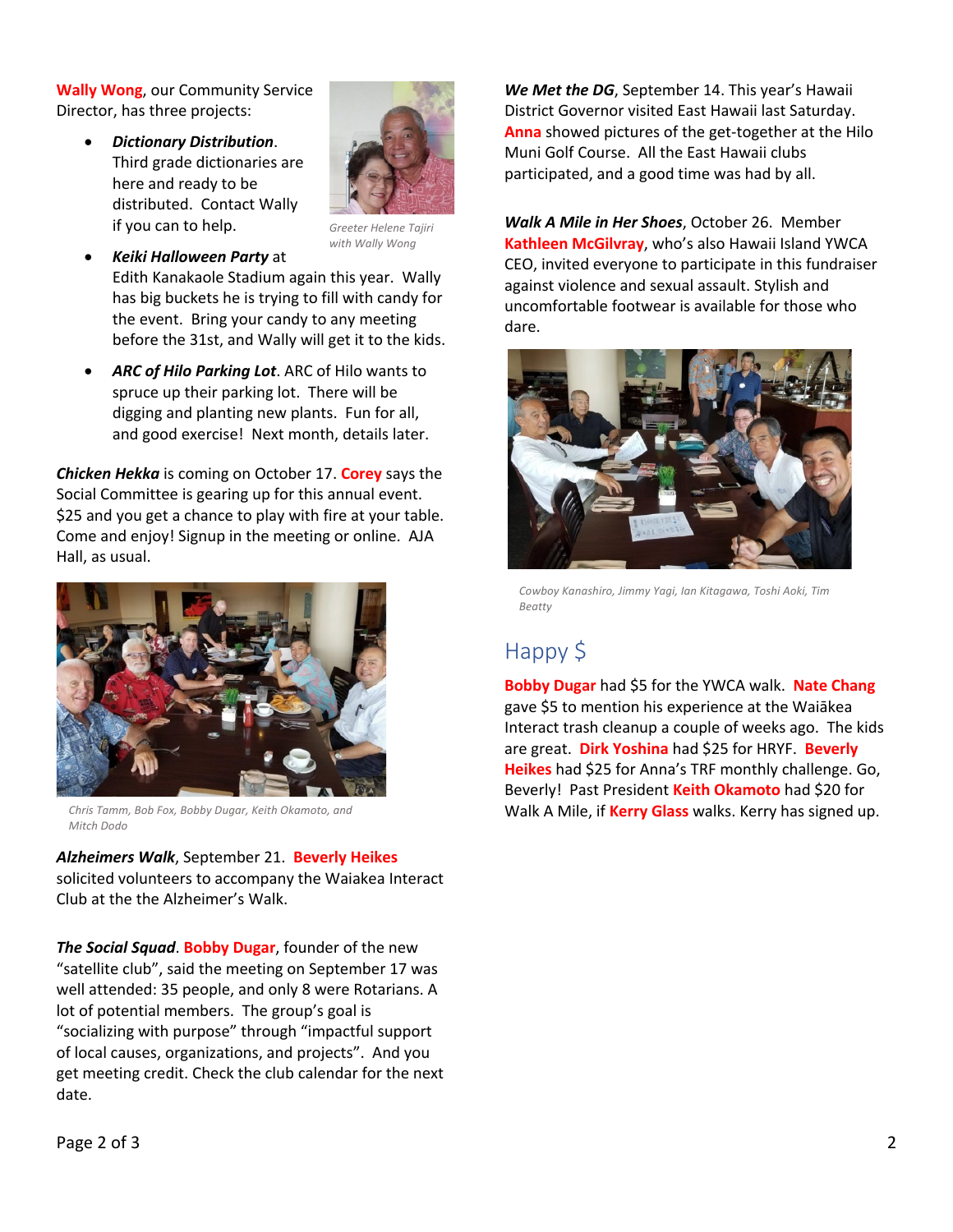**Wally Wong**, our Community Service Director, has three projects:

> • *Dictionary Distribution*. Third grade dictionaries are here and ready to be distributed. Contact Wally if you can to help.



*Greeter Helene Tajiri with Wally Wong*

- *Keiki Halloween Party* at Edith Kanakaole Stadium again this year. Wally has big buckets he is trying to fill with candy for the event. Bring your candy to any meeting before the 31st, and Wally will get it to the kids.
- *ARC of Hilo Parking Lot*. ARC of Hilo wants to spruce up their parking lot. There will be digging and planting new plants. Fun for all, and good exercise! Next month, details later.

*Chicken Hekka* is coming on October 17. **Corey** says the Social Committee is gearing up for this annual event. \$25 and you get a chance to play with fire at your table. Come and enjoy! Signup in the meeting or online. AJA Hall, as usual.



*Chris Tamm, Bob Fox, Bobby Dugar, Keith Okamoto, and Mitch Dodo*

*Alzheimers Walk*, September 21. **Beverly Heikes** solicited volunteers to accompany the Waiakea Interact Club at the the Alzheimer's Walk.

*The Social Squad*. **Bobby Dugar**, founder of the new "satellite club", said the meeting on September 17 was well attended: 35 people, and only 8 were Rotarians. A lot of potential members. The group's goal is "socializing with purpose" through "impactful support of local causes, organizations, and projects". And you get meeting credit. Check the club calendar for the next date.

*We Met the DG*, September 14. This year's Hawaii District Governor visited East Hawaii last Saturday. **Anna** showed pictures of the get-together at the Hilo Muni Golf Course. All the East Hawaii clubs participated, and a good time was had by all.

*Walk A Mile in Her Shoes*, October 26. Member **Kathleen McGilvray**, who's also Hawaii Island YWCA CEO, invited everyone to participate in this fundraiser against violence and sexual assault. Stylish and uncomfortable footwear is available for those who dare.



*Cowboy Kanashiro, Jimmy Yagi, Ian Kitagawa, Toshi Aoki, Tim Beatty*

## Happy \$

**Bobby Dugar** had \$5 for the YWCA walk. **Nate Chang** gave \$5 to mention his experience at the Waiākea Interact trash cleanup a couple of weeks ago. The kids are great. **Dirk Yoshina** had \$25 for HRYF. **Beverly Heikes** had \$25 for Anna's TRF monthly challenge. Go, Beverly! Past President **Keith Okamoto** had \$20 for Walk A Mile, if **Kerry Glass** walks. Kerry has signed up.